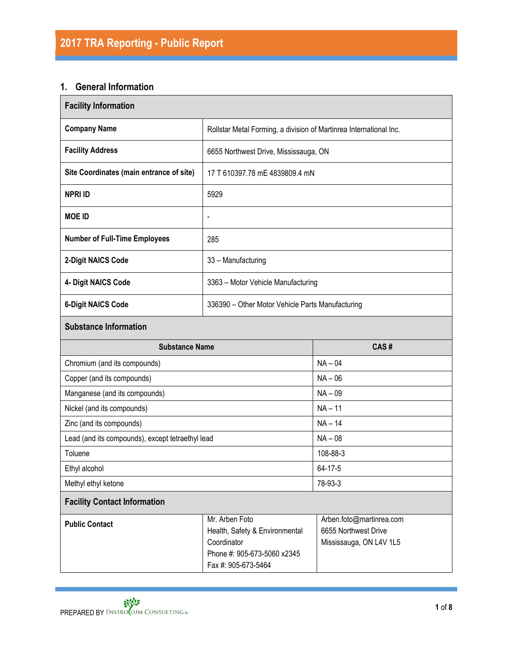# **1. General Information**

| <b>Facility Information</b>                                                                                                                    |                                                                    |                                                                             |  |  |
|------------------------------------------------------------------------------------------------------------------------------------------------|--------------------------------------------------------------------|-----------------------------------------------------------------------------|--|--|
| <b>Company Name</b>                                                                                                                            | Rollstar Metal Forming, a division of Martinrea International Inc. |                                                                             |  |  |
| <b>Facility Address</b>                                                                                                                        | 6655 Northwest Drive, Mississauga, ON                              |                                                                             |  |  |
| Site Coordinates (main entrance of site)                                                                                                       | 17 T 610397.78 mE 4839809.4 mN                                     |                                                                             |  |  |
| <b>NPRI ID</b>                                                                                                                                 | 5929                                                               |                                                                             |  |  |
| <b>MOE ID</b>                                                                                                                                  | $\blacksquare$                                                     |                                                                             |  |  |
| <b>Number of Full-Time Employees</b>                                                                                                           | 285                                                                |                                                                             |  |  |
| 2-Digit NAICS Code                                                                                                                             | 33 - Manufacturing                                                 |                                                                             |  |  |
| 4- Digit NAICS Code                                                                                                                            | 3363 - Motor Vehicle Manufacturing                                 |                                                                             |  |  |
| <b>6-Digit NAICS Code</b>                                                                                                                      | 336390 - Other Motor Vehicle Parts Manufacturing                   |                                                                             |  |  |
| <b>Substance Information</b>                                                                                                                   |                                                                    |                                                                             |  |  |
| <b>Substance Name</b>                                                                                                                          |                                                                    | CAS#                                                                        |  |  |
| Chromium (and its compounds)                                                                                                                   |                                                                    | $NA - 04$                                                                   |  |  |
| Copper (and its compounds)                                                                                                                     |                                                                    | $NA - 06$                                                                   |  |  |
| Manganese (and its compounds)                                                                                                                  |                                                                    | $NA - 09$                                                                   |  |  |
| Nickel (and its compounds)                                                                                                                     |                                                                    | $NA - 11$                                                                   |  |  |
| Zinc (and its compounds)                                                                                                                       |                                                                    | $NA - 14$                                                                   |  |  |
| Lead (and its compounds), except tetraethyl lead                                                                                               |                                                                    | $NA - 08$                                                                   |  |  |
| Toluene                                                                                                                                        |                                                                    | 108-88-3                                                                    |  |  |
| Ethyl alcohol                                                                                                                                  |                                                                    | 64-17-5                                                                     |  |  |
| Methyl ethyl ketone                                                                                                                            |                                                                    | 78-93-3                                                                     |  |  |
| <b>Facility Contact Information</b>                                                                                                            |                                                                    |                                                                             |  |  |
| Mr. Arben Foto<br><b>Public Contact</b><br>Health, Safety & Environmental<br>Coordinator<br>Phone #: 905-673-5060 x2345<br>Fax #: 905-673-5464 |                                                                    | Arben.foto@martinrea.com<br>6655 Northwest Drive<br>Mississauga, ON L4V 1L5 |  |  |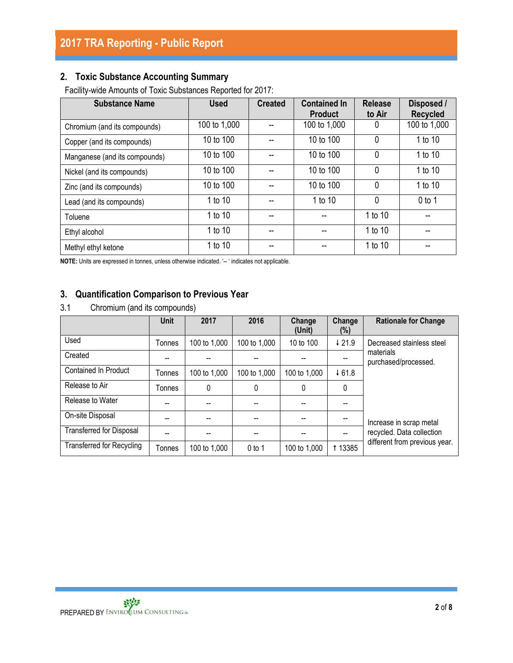# **2. Toxic Substance Accounting Summary**

Facility-wide Amounts of Toxic Substances Reported for 2017:

| <b>Substance Name</b>         | <b>Used</b>  | <b>Created</b> | <b>Contained In</b><br><b>Product</b> | <b>Release</b><br>to Air | Disposed /<br><b>Recycled</b> |
|-------------------------------|--------------|----------------|---------------------------------------|--------------------------|-------------------------------|
| Chromium (and its compounds)  | 100 to 1,000 |                | 100 to 1,000                          | 0                        | 100 to 1,000                  |
| Copper (and its compounds)    | 10 to 100    |                | 10 to 100                             | $\mathbf{0}$             | 1 to 10                       |
| Manganese (and its compounds) | 10 to 100    |                | 10 to 100                             | $\mathbf 0$              | 1 to 10                       |
| Nickel (and its compounds)    | 10 to 100    |                | 10 to 100                             | $\mathbf{0}$             | 1 to 10                       |
| Zinc (and its compounds)      | 10 to 100    |                | 10 to 100                             | $\mathbf{0}$             | 1 to 10                       |
| Lead (and its compounds)      | 1 to 10      |                | 1 to 10                               | $\mathbf{0}$             | $0$ to 1                      |
| Toluene                       | 1 to 10      |                |                                       | 1 to 10                  |                               |
| Ethyl alcohol                 | 1 to 10      |                |                                       | 1 to 10                  |                               |
| Methyl ethyl ketone           | 1 to 10      |                |                                       | 1 to 10                  |                               |

**NOTE:** Units are expressed in tonnes, unless otherwise indicated. '-- ' indicates not applicable.

### **3. Quantification Comparison to Previous Year**

3.1 Chromium (and its compounds)

|                                  | <b>Unit</b> | 2017         | 2016         | Change<br>(Unit) | Change<br>$(\%)$ | <b>Rationale for Change</b>       |
|----------------------------------|-------------|--------------|--------------|------------------|------------------|-----------------------------------|
| Used                             | Tonnes      | 100 to 1,000 | 100 to 1,000 | 10 to 100        | $\sqrt{21.9}$    | Decreased stainless steel         |
| Created                          |             |              |              |                  |                  | materials<br>purchased/processed. |
| <b>Contained In Product</b>      | Tonnes      | 100 to 1,000 | 100 to 1,000 | 100 to 1,000     | 461.8            |                                   |
| Release to Air                   | Tonnes      | 0            | 0            | 0                | $\mathbf{0}$     |                                   |
| Release to Water                 |             |              |              |                  |                  |                                   |
| On-site Disposal                 |             |              |              |                  |                  | Increase in scrap metal           |
| <b>Transferred for Disposal</b>  |             |              |              |                  |                  | recycled. Data collection         |
| <b>Transferred for Recycling</b> | Tonnes      | 100 to 1,000 | $0$ to 1     | 100 to 1,000     | 1 13385          | different from previous year.     |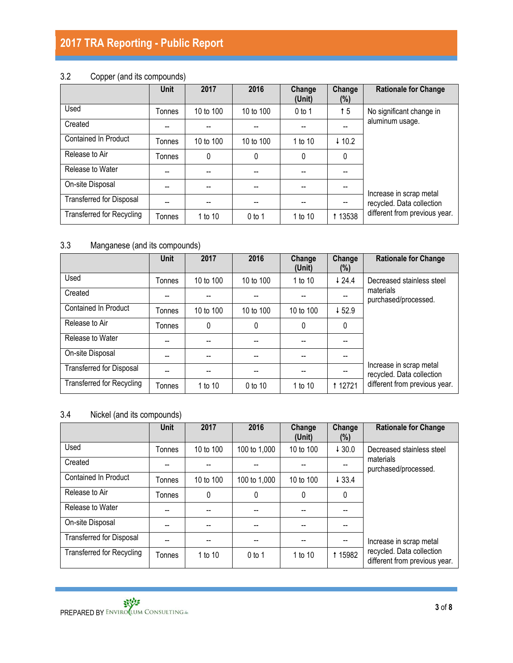# 3.2 Copper (and its compounds)

|                                  | <b>Unit</b>   | 2017      | 2016      | Change<br>(Unit) | Change<br>$(\%)$  | <b>Rationale for Change</b>                          |
|----------------------------------|---------------|-----------|-----------|------------------|-------------------|------------------------------------------------------|
| Used                             | <b>Tonnes</b> | 10 to 100 | 10 to 100 | $0$ to 1         | † 5               | No significant change in                             |
| Created                          | --            | --        |           |                  |                   | aluminum usage.                                      |
| <b>Contained In Product</b>      | Tonnes        | 10 to 100 | 10 to 100 | 1 to 10          | $\downarrow$ 10.2 |                                                      |
| Release to Air                   | Tonnes        | 0         | 0         | $\mathbf{0}$     | 0                 |                                                      |
| Release to Water                 | --            |           |           |                  |                   |                                                      |
| On-site Disposal                 | --            |           |           |                  |                   |                                                      |
| <b>Transferred for Disposal</b>  | --            | --        |           |                  |                   | Increase in scrap metal<br>recycled. Data collection |
| <b>Transferred for Recycling</b> | Tonnes        | 1 to 10   | $0$ to 1  | 1 to 10          | 1 1 3 5 3 8       | different from previous year.                        |

# 3.3 Manganese (and its compounds)

|                                  | <b>Unit</b> | 2017      | 2016      | Change<br>(Unit) | Change<br>$(\%)$ | <b>Rationale for Change</b>                          |
|----------------------------------|-------------|-----------|-----------|------------------|------------------|------------------------------------------------------|
| Used                             | Tonnes      | 10 to 100 | 10 to 100 | 1 to 10          | 424.4            | Decreased stainless steel                            |
| Created                          |             |           |           |                  |                  | materials<br>purchased/processed.                    |
| <b>Contained In Product</b>      | Tonnes      | 10 to 100 | 10 to 100 | 10 to 100        | 452.9            |                                                      |
| Release to Air                   | Tonnes      | $\Omega$  | 0         | $\mathbf{0}$     | 0                |                                                      |
| Release to Water                 |             |           |           |                  |                  |                                                      |
| On-site Disposal                 |             |           |           |                  |                  |                                                      |
| <b>Transferred for Disposal</b>  |             |           |           |                  |                  | Increase in scrap metal<br>recycled. Data collection |
| <b>Transferred for Recycling</b> | Tonnes      | 1 to 10   | 0 to 10   | 1 to 10          | <b>t</b> 12721   | different from previous year.                        |

### 3.4 Nickel (and its compounds)

|                                  | <b>Unit</b>   | 2017      | 2016         | Change<br>(Unit) | Change<br>(%) | <b>Rationale for Change</b>                                |
|----------------------------------|---------------|-----------|--------------|------------------|---------------|------------------------------------------------------------|
| Used                             | Tonnes        | 10 to 100 | 100 to 1,000 | 10 to 100        | 430.0         | Decreased stainless steel                                  |
| Created                          |               |           |              |                  |               | materials<br>purchased/processed.                          |
| <b>Contained In Product</b>      | Tonnes        | 10 to 100 | 100 to 1,000 | 10 to 100        | 433.4         |                                                            |
| Release to Air                   | <b>Tonnes</b> | 0         | $\mathbf 0$  | 0                | 0             |                                                            |
| Release to Water                 |               |           |              |                  |               |                                                            |
| On-site Disposal                 |               |           | --           |                  |               |                                                            |
| <b>Transferred for Disposal</b>  |               |           |              |                  |               | Increase in scrap metal                                    |
| <b>Transferred for Recycling</b> | Tonnes        | 1 to 10   | $0$ to 1     | 1 to 10          | <b>15982</b>  | recycled. Data collection<br>different from previous year. |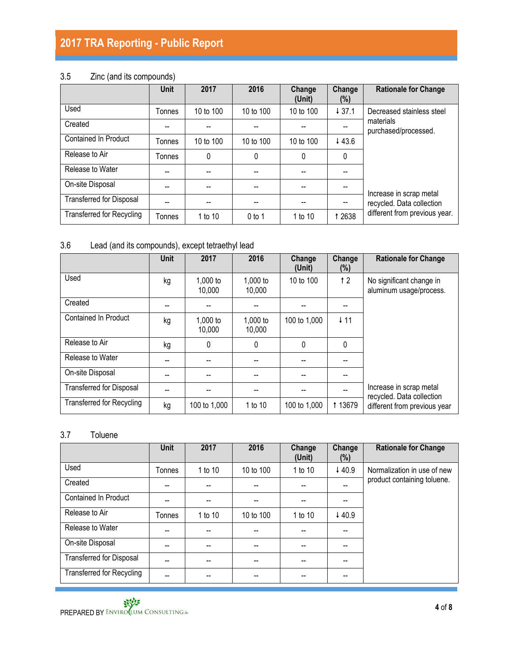# 3.5 Zinc (and its compounds)

|                                  | <b>Unit</b> | 2017      | 2016      | Change<br>(Unit) | Change<br>$(\%)$ | <b>Rationale for Change</b>                          |
|----------------------------------|-------------|-----------|-----------|------------------|------------------|------------------------------------------------------|
| Used                             | Tonnes      | 10 to 100 | 10 to 100 | 10 to 100        | 437.1            | Decreased stainless steel                            |
| Created                          |             |           |           |                  |                  | materials<br>purchased/processed.                    |
| <b>Contained In Product</b>      | Tonnes      | 10 to 100 | 10 to 100 | 10 to 100        | 443.6            |                                                      |
| Release to Air                   | Tonnes      | 0         | 0         | $\Omega$         | $\Omega$         |                                                      |
| Release to Water                 | --          |           |           |                  |                  |                                                      |
| On-site Disposal                 | --          |           |           |                  |                  |                                                      |
| <b>Transferred for Disposal</b>  | --          |           |           |                  |                  | Increase in scrap metal<br>recycled. Data collection |
| <b>Transferred for Recycling</b> | Tonnes      | 1 to 10   | $0$ to 1  | 1 to 10          | 1 2638           | different from previous year.                        |

# 3.6 Lead (and its compounds), except tetraethyl lead

|                                  | <b>Unit</b> | 2017                 | 2016               | Change<br>(Unit) | Change<br>$(\%)$ | <b>Rationale for Change</b>                          |
|----------------------------------|-------------|----------------------|--------------------|------------------|------------------|------------------------------------------------------|
| Used                             | kg          | $1,000$ to<br>10,000 | 1,000 to<br>10,000 | 10 to 100        | 12               | No significant change in<br>aluminum usage/process.  |
| Created                          |             |                      |                    |                  |                  |                                                      |
| Contained In Product             | kg          | $1,000$ to<br>10,000 | 1,000 to<br>10,000 | 100 to 1,000     | $\downarrow$ 11  |                                                      |
| Release to Air                   | kg          | 0                    | 0                  | 0                | 0                |                                                      |
| Release to Water                 |             |                      |                    |                  |                  |                                                      |
| On-site Disposal                 |             |                      |                    |                  |                  |                                                      |
| <b>Transferred for Disposal</b>  | --          |                      |                    |                  |                  | Increase in scrap metal<br>recycled. Data collection |
| <b>Transferred for Recycling</b> | kg          | 100 to 1,000         | 1 to 10            | 100 to 1,000     | 1 1 3 6 7 9      | different from previous year                         |

# 3.7 Toluene

|                                  | <b>Unit</b> | 2017    | 2016      | Change<br>(Unit) | Change<br>$(\%)$ | <b>Rationale for Change</b> |
|----------------------------------|-------------|---------|-----------|------------------|------------------|-----------------------------|
| Used                             | Tonnes      | 1 to 10 | 10 to 100 | 1 to 10          | 440.9            | Normalization in use of new |
| Created                          |             |         |           |                  |                  | product containing toluene. |
| <b>Contained In Product</b>      |             |         |           |                  |                  |                             |
| Release to Air                   | Tonnes      | 1 to 10 | 10 to 100 | 1 to 10          | 440.9            |                             |
| Release to Water                 | --          |         |           |                  |                  |                             |
| On-site Disposal                 |             |         |           |                  |                  |                             |
| <b>Transferred for Disposal</b>  | --          | --      | --        | --               |                  |                             |
| <b>Transferred for Recycling</b> | --          | --      | --        | --               |                  |                             |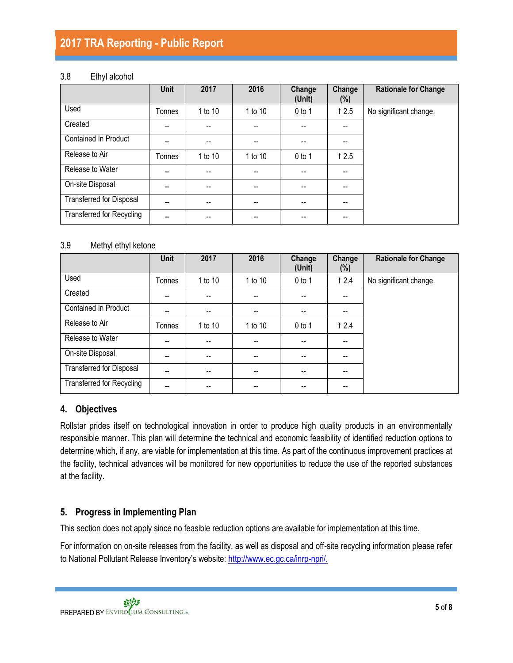#### 3.8 Ethyl alcohol

|                                  | <b>Unit</b>              | 2017    | 2016    | Change<br>(Unit) | Change<br>$(\%)$ | <b>Rationale for Change</b> |
|----------------------------------|--------------------------|---------|---------|------------------|------------------|-----------------------------|
| Used                             | Tonnes                   | 1 to 10 | 1 to 10 | $0$ to 1         | 12.5             | No significant change.      |
| Created                          | --                       | --      |         |                  | --               |                             |
| <b>Contained In Product</b>      |                          |         |         |                  |                  |                             |
| Release to Air                   | Tonnes                   | 1 to 10 | 1 to 10 | $0$ to 1         | 12.5             |                             |
| Release to Water                 | --                       | --      |         |                  |                  |                             |
| On-site Disposal                 | --                       | --      | --      | --               | --               |                             |
| <b>Transferred for Disposal</b>  | $-$                      | --      | $-$     | --               | --               |                             |
| <b>Transferred for Recycling</b> | $\overline{\phantom{a}}$ | --      | --      | --               | --               |                             |

#### 3.9 Methyl ethyl ketone

|                                  | <b>Unit</b> | 2017    | 2016                     | Change<br>(Unit) | Change<br>$(\%)$ | <b>Rationale for Change</b> |
|----------------------------------|-------------|---------|--------------------------|------------------|------------------|-----------------------------|
| Used                             | Tonnes      | 1 to 10 | 1 to 10                  | $0$ to 1         | 12.4             | No significant change.      |
| Created                          | --          |         |                          |                  | --               |                             |
| <b>Contained In Product</b>      | --          | --      | $-$                      |                  | --               |                             |
| Release to Air                   | Tonnes      | 1 to 10 | 1 to 10                  | $0$ to 1         | 12.4             |                             |
| Release to Water                 | --          | --      | $-$                      |                  | --               |                             |
| On-site Disposal                 | --          | --      | $\overline{\phantom{a}}$ |                  | --               |                             |
| Transferred for Disposal         | --          | --      | $-$                      |                  | --               |                             |
| <b>Transferred for Recycling</b> | --          |         |                          |                  | --               |                             |

### **4. Objectives**

Rollstar prides itself on technological innovation in order to produce high quality products in an environmentally responsible manner. This plan will determine the technical and economic feasibility of identified reduction options to determine which, if any, are viable for implementation at this time. As part of the continuous improvement practices at the facility, technical advances will be monitored for new opportunities to reduce the use of the reported substances at the facility.

### **5. Progress in Implementing Plan**

This section does not apply since no feasible reduction options are available for implementation at this time.

For information on on-site releases from the facility, as well as disposal and off-site recycling information please refer to National Pollutant Release Inventory's website: [http://www.ec.gc.ca/inrp-npri/.](http://www.ec.gc.ca/inrp-npri/)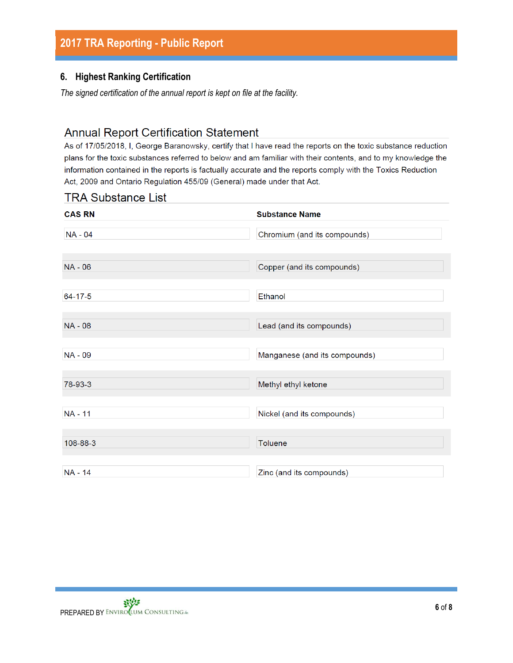#### **6. Highest Ranking Certification**

*The signed certification of the annual report is kept on file at the facility.*

# **Annual Report Certification Statement**

As of 17/05/2018, I, George Baranowsky, certify that I have read the reports on the toxic substance reduction plans for the toxic substances referred to below and am familiar with their contents, and to my knowledge the information contained in the reports is factually accurate and the reports comply with the Toxics Reduction Act, 2009 and Ontario Regulation 455/09 (General) made under that Act.

### **TRA Substance List**

| <b>CAS RN</b>  | <b>Substance Name</b>         |
|----------------|-------------------------------|
| NA - 04        | Chromium (and its compounds)  |
| NA - 06        | Copper (and its compounds)    |
| $64 - 17 - 5$  | Ethanol                       |
| <b>NA - 08</b> | Lead (and its compounds)      |
| NA - 09        | Manganese (and its compounds) |
| 78-93-3        | Methyl ethyl ketone           |
| <b>NA - 11</b> | Nickel (and its compounds)    |
| 108-88-3       | <b>Toluene</b>                |
| NA - 14        | Zinc (and its compounds)      |